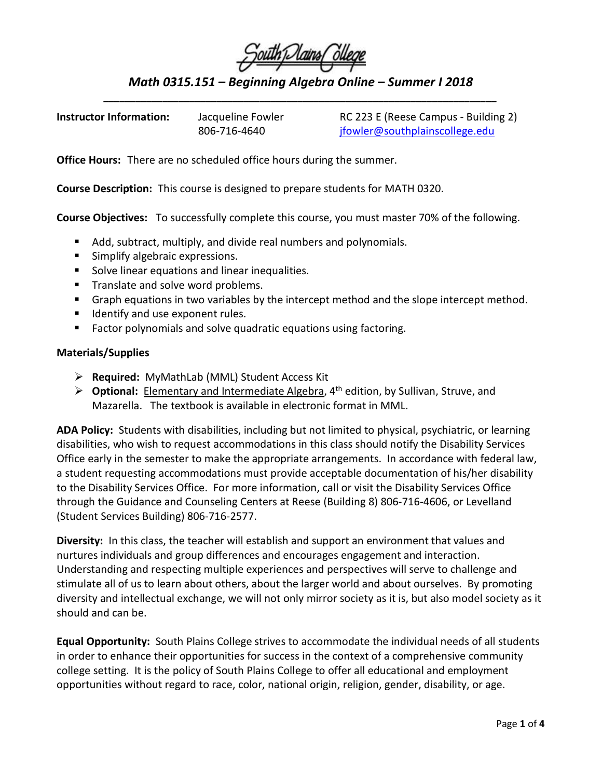| South I lains Ollege |  |  |  |
|----------------------|--|--|--|
|                      |  |  |  |
|                      |  |  |  |

*Math 0315.151 – Beginning Algebra Online – Summer I 2018 \_\_\_\_\_\_\_\_\_\_\_\_\_\_\_\_\_\_\_\_\_\_\_\_\_\_\_\_\_\_\_\_\_\_\_\_\_\_\_\_\_\_\_\_\_\_\_\_\_\_\_\_\_\_\_\_\_\_\_\_\_\_\_\_\_\_\_\_\_\_\_\_\_*

| <b>Instructor Information:</b> | Jacqueline Fowler | RC 223 E (Reese Campus - Building 2) |  |  |
|--------------------------------|-------------------|--------------------------------------|--|--|
|                                | 806-716-4640      | jfowler@southplainscollege.edu       |  |  |

**Office Hours:** There are no scheduled office hours during the summer.

**Course Description:** This course is designed to prepare students for MATH 0320.

**Course Objectives:** To successfully complete this course, you must master 70% of the following.

- Add, subtract, multiply, and divide real numbers and polynomials.
- **Simplify algebraic expressions.**
- **Solve linear equations and linear inequalities.**
- **Translate and solve word problems.**
- **Graph equations in two variables by the intercept method and the slope intercept method.**
- **If** Identify and use exponent rules.
- **Factor polynomials and solve quadratic equations using factoring.**

## **Materials/Supplies**

- **Required:** MyMathLab (MML) Student Access Kit
- **Optional:** Elementary and Intermediate Algebra, 4th edition, by Sullivan, Struve, and Mazarella. The textbook is available in electronic format in MML.

**ADA Policy:** Students with disabilities, including but not limited to physical, psychiatric, or learning disabilities, who wish to request accommodations in this class should notify the Disability Services Office early in the semester to make the appropriate arrangements. In accordance with federal law, a student requesting accommodations must provide acceptable documentation of his/her disability to the Disability Services Office. For more information, call or visit the Disability Services Office through the Guidance and Counseling Centers at Reese (Building 8) 806-716-4606, or Levelland (Student Services Building) 806-716-2577.

**Diversity:** In this class, the teacher will establish and support an environment that values and nurtures individuals and group differences and encourages engagement and interaction. Understanding and respecting multiple experiences and perspectives will serve to challenge and stimulate all of us to learn about others, about the larger world and about ourselves. By promoting diversity and intellectual exchange, we will not only mirror society as it is, but also model society as it should and can be.

**Equal Opportunity:** South Plains College strives to accommodate the individual needs of all students in order to enhance their opportunities for success in the context of a comprehensive community college setting. It is the policy of South Plains College to offer all educational and employment opportunities without regard to race, color, national origin, religion, gender, disability, or age.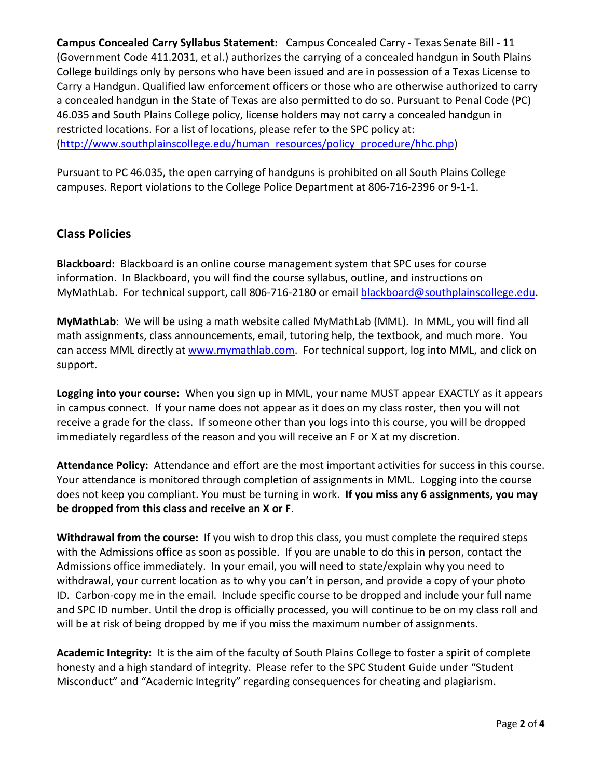**Campus Concealed Carry Syllabus Statement:** Campus Concealed Carry - Texas Senate Bill - 11 (Government Code 411.2031, et al.) authorizes the carrying of a concealed handgun in South Plains College buildings only by persons who have been issued and are in possession of a Texas License to Carry a Handgun. Qualified law enforcement officers or those who are otherwise authorized to carry a concealed handgun in the State of Texas are also permitted to do so. Pursuant to Penal Code (PC) 46.035 and South Plains College policy, license holders may not carry a concealed handgun in restricted locations. For a list of locations, please refer to the SPC policy at: [\(http://www.southplainscollege.edu/human\\_resources/policy\\_procedure/hhc.php\)](http://www.southplainscollege.edu/human_resources/policy_procedure/hhc.php)

Pursuant to PC 46.035, the open carrying of handguns is prohibited on all South Plains College campuses. Report violations to the College Police Department at 806-716-2396 or 9-1-1.

## **Class Policies**

**Blackboard:** Blackboard is an online course management system that SPC uses for course information. In Blackboard, you will find the course syllabus, outline, and instructions on MyMathLab. For technical support, call 806-716-2180 or email [blackboard@southplainscollege.edu.](mailto:blackboard@southplainscollege.edu)

**MyMathLab**: We will be using a math website called MyMathLab (MML). In MML, you will find all math assignments, class announcements, email, tutoring help, the textbook, and much more. You can access MML directly at [www.mymathlab.com.](http://www.mymathlab.com/) For technical support, log into MML, and click on support.

**Logging into your course:** When you sign up in MML, your name MUST appear EXACTLY as it appears in campus connect. If your name does not appear as it does on my class roster, then you will not receive a grade for the class. If someone other than you logs into this course, you will be dropped immediately regardless of the reason and you will receive an F or X at my discretion.

**Attendance Policy:** Attendance and effort are the most important activities for success in this course. Your attendance is monitored through completion of assignments in MML. Logging into the course does not keep you compliant. You must be turning in work. **If you miss any 6 assignments, you may be dropped from this class and receive an X or F**.

**Withdrawal from the course:** If you wish to drop this class, you must complete the required steps with the Admissions office as soon as possible. If you are unable to do this in person, contact the Admissions office immediately. In your email, you will need to state/explain why you need to withdrawal, your current location as to why you can't in person, and provide a copy of your photo ID. Carbon-copy me in the email. Include specific course to be dropped and include your full name and SPC ID number. Until the drop is officially processed, you will continue to be on my class roll and will be at risk of being dropped by me if you miss the maximum number of assignments.

**Academic Integrity:** It is the aim of the faculty of South Plains College to foster a spirit of complete honesty and a high standard of integrity. Please refer to the SPC Student Guide under "Student Misconduct" and "Academic Integrity" regarding consequences for cheating and plagiarism.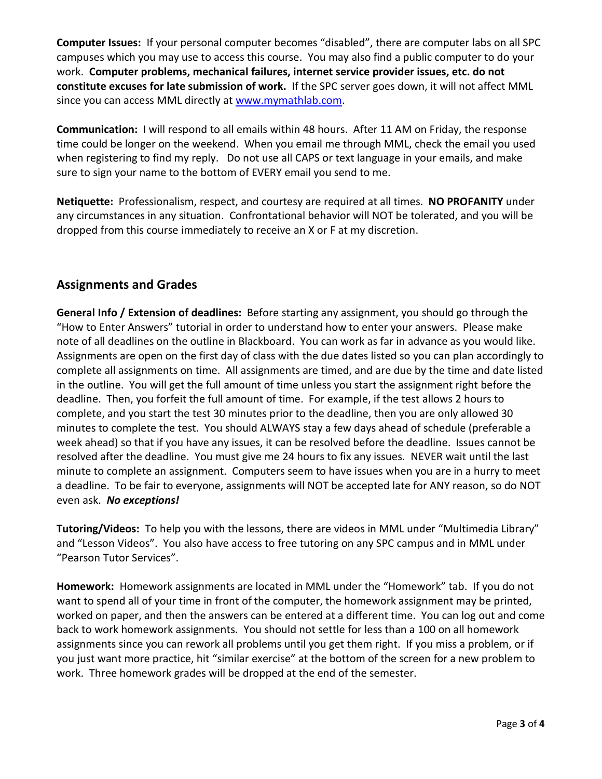**Computer Issues:** If your personal computer becomes "disabled", there are computer labs on all SPC campuses which you may use to access this course. You may also find a public computer to do your work. **Computer problems, mechanical failures, internet service provider issues, etc. do not constitute excuses for late submission of work.** If the SPC server goes down, it will not affect MML since you can access MML directly at [www.mymathlab.com.](http://www.mymathlab.com/)

**Communication:** I will respond to all emails within 48 hours. After 11 AM on Friday, the response time could be longer on the weekend. When you email me through MML, check the email you used when registering to find my reply. Do not use all CAPS or text language in your emails, and make sure to sign your name to the bottom of EVERY email you send to me.

**Netiquette:** Professionalism, respect, and courtesy are required at all times. **NO PROFANITY** under any circumstances in any situation. Confrontational behavior will NOT be tolerated, and you will be dropped from this course immediately to receive an X or F at my discretion.

## **Assignments and Grades**

**General Info / Extension of deadlines:** Before starting any assignment, you should go through the "How to Enter Answers" tutorial in order to understand how to enter your answers. Please make note of all deadlines on the outline in Blackboard. You can work as far in advance as you would like. Assignments are open on the first day of class with the due dates listed so you can plan accordingly to complete all assignments on time. All assignments are timed, and are due by the time and date listed in the outline. You will get the full amount of time unless you start the assignment right before the deadline. Then, you forfeit the full amount of time. For example, if the test allows 2 hours to complete, and you start the test 30 minutes prior to the deadline, then you are only allowed 30 minutes to complete the test. You should ALWAYS stay a few days ahead of schedule (preferable a week ahead) so that if you have any issues, it can be resolved before the deadline. Issues cannot be resolved after the deadline. You must give me 24 hours to fix any issues. NEVER wait until the last minute to complete an assignment. Computers seem to have issues when you are in a hurry to meet a deadline. To be fair to everyone, assignments will NOT be accepted late for ANY reason, so do NOT even ask. *No exceptions!* 

**Tutoring/Videos:** To help you with the lessons, there are videos in MML under "Multimedia Library" and "Lesson Videos". You also have access to free tutoring on any SPC campus and in MML under "Pearson Tutor Services".

**Homework:** Homework assignments are located in MML under the "Homework" tab. If you do not want to spend all of your time in front of the computer, the homework assignment may be printed, worked on paper, and then the answers can be entered at a different time. You can log out and come back to work homework assignments. You should not settle for less than a 100 on all homework assignments since you can rework all problems until you get them right. If you miss a problem, or if you just want more practice, hit "similar exercise" at the bottom of the screen for a new problem to work. Three homework grades will be dropped at the end of the semester.